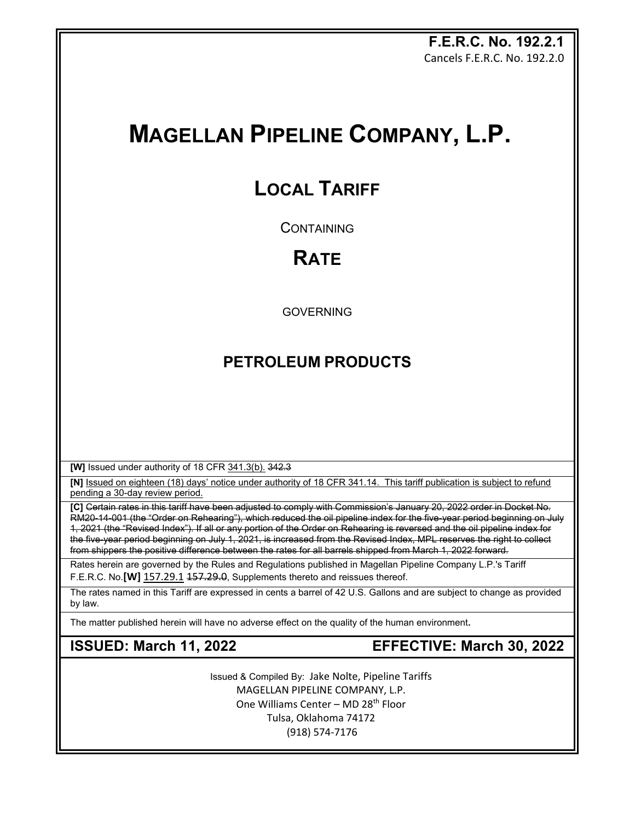**F.E.R.C. No. 192.2.1** Cancels F.E.R.C. No. 192.2.0

# **MAGELLAN PIPELINE COMPANY, L.P.**

# **LOCAL TARIFF**

**CONTAINING** 

# **RATE**

GOVERNING

## **PETROLEUM PRODUCTS**

**[W]** Issued under authority of 18 CFR 341.3(b). 342.3

**[N]** Issued on eighteen (18) days' notice under authority of 18 CFR 341.14. This tariff publication is subject to refund pending a 30-day review period.

**[C]** Certain rates in this tariff have been adjusted to comply with Commission's January 20, 2022 order in Docket No. RM20-14-001 (the "Order on Rehearing"), which reduced the oil pipeline index for the five-year period beginning on July 1, 2021 (the "Revised Index"). If all or any portion of the Order on Rehearing is reversed and the oil pipeline index for the five-year period beginning on July 1, 2021, is increased from the Revised Index, MPL reserves the right to collect from shippers the positive difference between the rates for all barrels shipped from March 1, 2022 forward.

Rates herein are governed by the Rules and Regulations published in Magellan Pipeline Company L.P.'s Tariff F.E.R.C. No.<sup>[W]</sup> 157.29.1 157.29.0, Supplements thereto and reissues thereof.

The rates named in this Tariff are expressed in cents a barrel of 42 U.S. Gallons and are subject to change as provided by law.

The matter published herein will have no adverse effect on the quality of the human environment**.**

**ISSUED: March 11, 2022 EFFECTIVE: March 30, 2022**

Issued & Compiled By: Jake Nolte, Pipeline Tariffs MAGELLAN PIPELINE COMPANY, L.P. One Williams Center - MD 28<sup>th</sup> Floor Tulsa, Oklahoma 74172 (918) 574-7176